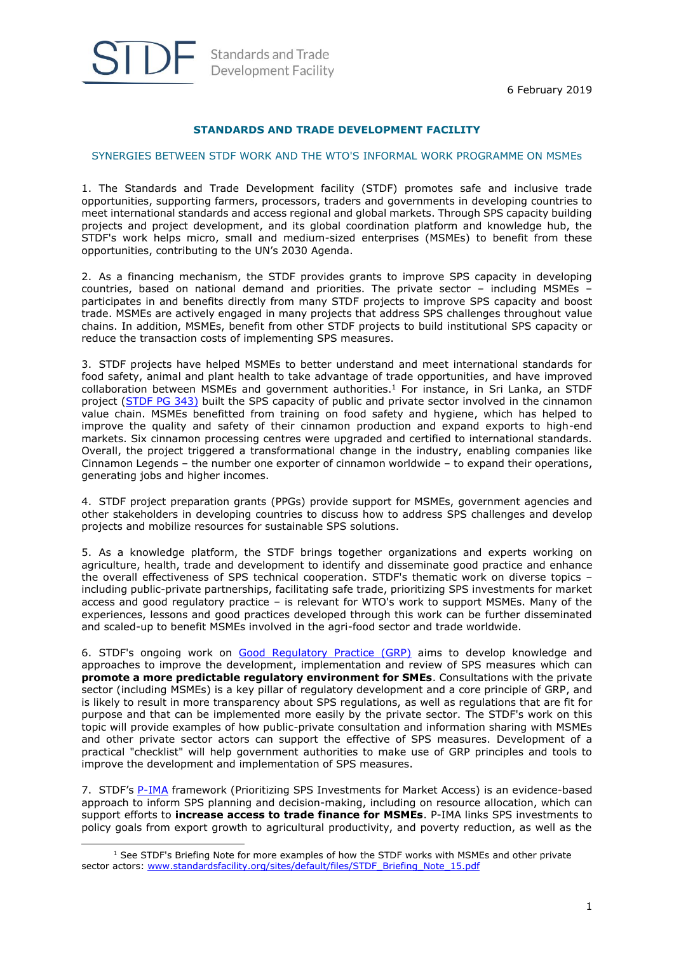

-

# Standards and Trade Development Facility

## **STANDARDS AND TRADE DEVELOPMENT FACILITY**

### SYNERGIES BETWEEN STDF WORK AND THE WTO'S INFORMAL WORK PROGRAMME ON MSMEs

1. The Standards and Trade Development facility (STDF) promotes safe and inclusive trade opportunities, supporting farmers, processors, traders and governments in developing countries to meet international standards and access regional and global markets. Through SPS capacity building projects and project development, and its global coordination platform and knowledge hub, the STDF's work helps micro, small and medium-sized enterprises (MSMEs) to benefit from these opportunities, contributing to the UN's 2030 Agenda.

2. As a financing mechanism, the STDF provides grants to improve SPS capacity in developing countries, based on national demand and priorities. The private sector – including MSMEs – participates in and benefits directly from many STDF projects to improve SPS capacity and boost trade. MSMEs are actively engaged in many projects that address SPS challenges throughout value chains. In addition, MSMEs, benefit from other STDF projects to build institutional SPS capacity or reduce the transaction costs of implementing SPS measures.

3. STDF projects have helped MSMEs to better understand and meet international standards for food safety, animal and plant health to take advantage of trade opportunities, and have improved collaboration between MSMEs and government authorities.<sup>1</sup> For instance, in Sri Lanka, an STDF project [\(STDF PG 343\)](http://www.standardsfacility.org/PG-343) built the SPS capacity of public and private sector involved in the cinnamon value chain. MSMEs benefitted from training on food safety and hygiene, which has helped to improve the quality and safety of their cinnamon production and expand exports to high-end markets. Six cinnamon processing centres were upgraded and certified to international standards. Overall, the project triggered a transformational change in the industry, enabling companies like Cinnamon Legends – the number one exporter of cinnamon worldwide – to expand their operations, generating jobs and higher incomes.

4. STDF project preparation grants (PPGs) provide support for MSMEs, government agencies and other stakeholders in developing countries to discuss how to address SPS challenges and develop projects and mobilize resources for sustainable SPS solutions.

5. As a knowledge platform, the STDF brings together organizations and experts working on agriculture, health, trade and development to identify and disseminate good practice and enhance the overall effectiveness of SPS technical cooperation. STDF's thematic work on diverse topics – including public-private partnerships, facilitating safe trade, prioritizing SPS investments for market access and good regulatory practice – is relevant for WTO's work to support MSMEs. Many of the experiences, lessons and good practices developed through this work can be further disseminated and scaled-up to benefit MSMEs involved in the agri-food sector and trade worldwide.

6. STDF's ongoing work on [Good Regulatory Practice \(GRP\)](http://www.standardsfacility.org/good-regulatory-practice) aims to develop knowledge and approaches to improve the development, implementation and review of SPS measures which can **promote a more predictable regulatory environment for SMEs**. Consultations with the private sector (including MSMEs) is a key pillar of regulatory development and a core principle of GRP, and is likely to result in more transparency about SPS regulations, as well as regulations that are fit for purpose and that can be implemented more easily by the private sector. The STDF's work on this topic will provide examples of how public-private consultation and information sharing with MSMEs and other private sector actors can support the effective of SPS measures. Development of a practical "checklist" will help government authorities to make use of GRP principles and tools to improve the development and implementation of SPS measures.

7. STDF's [P-IMA](http://www.standardsfacility.org/prioritizing-sps-investments-market-access-p-ima) framework (Prioritizing SPS Investments for Market Access) is an evidence-based approach to inform SPS planning and decision-making, including on resource allocation, which can support efforts to **increase access to trade finance for MSMEs**. P-IMA links SPS investments to policy goals from export growth to agricultural productivity, and poverty reduction, as well as the

 $<sup>1</sup>$  See STDF's Briefing Note for more examples of how the STDF works with MSMEs and other private</sup> sector actors: [www.standardsfacility.org/sites/default/files/STDF\\_Briefing\\_Note\\_15.pdf](http://www.standardsfacility.org/sites/default/files/STDF_Briefing_Note_15.pdf)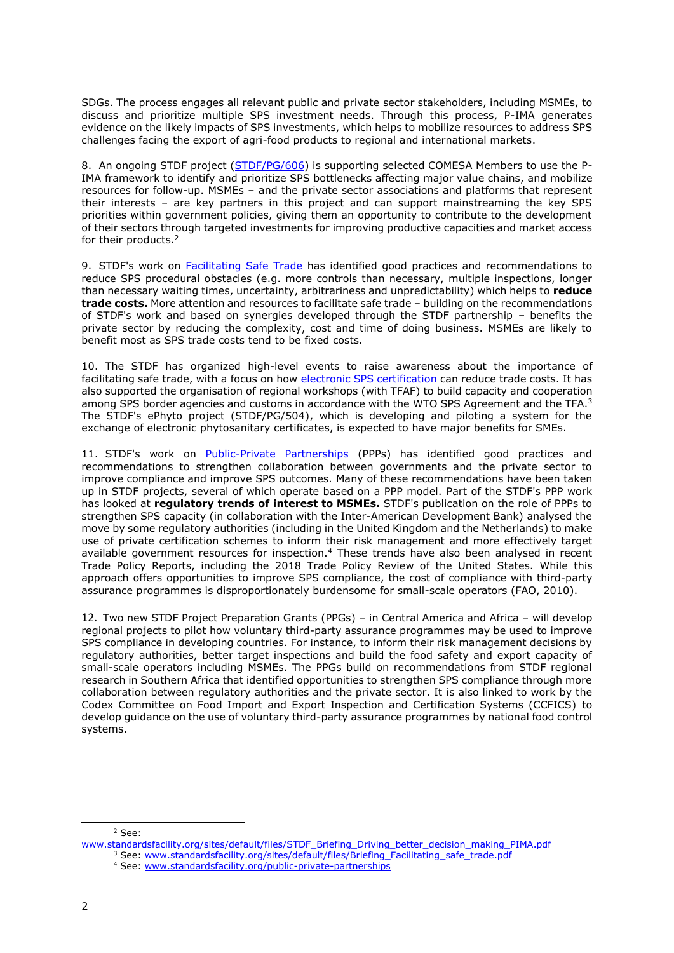SDGs. The process engages all relevant public and private sector stakeholders, including MSMEs, to discuss and prioritize multiple SPS investment needs. Through this process, P-IMA generates evidence on the likely impacts of SPS investments, which helps to mobilize resources to address SPS challenges facing the export of agri-food products to regional and international markets.

8. An ongoing STDF project [\(STDF/PG/606\)](http://www.standardsfacility.org/PG-606) is supporting selected COMESA Members to use the P-IMA framework to identify and prioritize SPS bottlenecks affecting major value chains, and mobilize resources for follow-up. MSMEs – and the private sector associations and platforms that represent their interests – are key partners in this project and can support mainstreaming the key SPS priorities within government policies, giving them an opportunity to contribute to the development of their sectors through targeted investments for improving productive capacities and market access for their products.<sup>2</sup>

9. STDF's work on **Facilitating Safe Trade has identified good practices and recommendations to** reduce SPS procedural obstacles (e.g. more controls than necessary, multiple inspections, longer than necessary waiting times, uncertainty, arbitrariness and unpredictability) which helps to **reduce trade costs.** More attention and resources to facilitate safe trade – building on the recommendations of STDF's work and based on synergies developed through the STDF partnership – benefits the private sector by reducing the complexity, cost and time of doing business. MSMEs are likely to benefit most as SPS trade costs tend to be fixed costs.

10. The STDF has organized high-level events to raise awareness about the importance of facilitating safe trade, with a focus on how electronic SPS [certification](http://www.standardsfacility.org/SPS-eCert) can reduce trade costs. It has also supported the organisation of regional workshops (with TFAF) to build capacity and cooperation among SPS border agencies and customs in accordance with the WTO SPS Agreement and the TFA.<sup>3</sup> The STDF's ePhyto project (STDF/PG/504), which is developing and piloting a system for the exchange of electronic phytosanitary certificates, is expected to have major benefits for SMEs.

11. STDF's work on [Public-Private Partnerships](http://www.standardsfacility.org/public-private-partnerships) (PPPs) has identified good practices and recommendations to strengthen collaboration between governments and the private sector to improve compliance and improve SPS outcomes. Many of these recommendations have been taken up in STDF projects, several of which operate based on a PPP model. Part of the STDF's PPP work has looked at **regulatory trends of interest to MSMEs.** STDF's publication on the role of PPPs to strengthen SPS capacity (in collaboration with the Inter-American Development Bank) analysed the move by some regulatory authorities (including in the United Kingdom and the Netherlands) to make use of private certification schemes to inform their risk management and more effectively target available government resources for inspection.<sup>4</sup> These trends have also been analysed in recent Trade Policy Reports, including the 2018 Trade Policy Review of the United States. While this approach offers opportunities to improve SPS compliance, the cost of compliance with third-party assurance programmes is disproportionately burdensome for small-scale operators (FAO, 2010).

12. Two new STDF Project Preparation Grants (PPGs) – in Central America and Africa – will develop regional projects to pilot how voluntary third-party assurance programmes may be used to improve SPS compliance in developing countries. For instance, to inform their risk management decisions by regulatory authorities, better target inspections and build the food safety and export capacity of small-scale operators including MSMEs. The PPGs build on recommendations from STDF regional research in Southern Africa that identified opportunities to strengthen SPS compliance through more collaboration between regulatory authorities and the private sector. It is also linked to work by the Codex Committee on Food Import and Export Inspection and Certification Systems (CCFICS) to develop guidance on the use of voluntary third-party assurance programmes by national food control systems.

#### <sup>2</sup> See:

-

[www.standardsfacility.org/sites/default/files/STDF\\_Briefing\\_Driving\\_better\\_decision\\_making\\_PIMA.pdf](http://www.standardsfacility.org/sites/default/files/STDF_Briefing_Driving_better_decision_making_PIMA.pdf)

<sup>&</sup>lt;sup>3</sup> See: [www.standardsfacility.org/sites/default/files/Briefing\\_Facilitating\\_safe\\_trade.pdf](http://www.standardsfacility.org/sites/default/files/Briefing_Facilitating_safe_trade.pdf)

<sup>4</sup> See: [www.standardsfacility.org/public-private-partnerships](http://www.standardsfacility.org/public-private-partnerships)